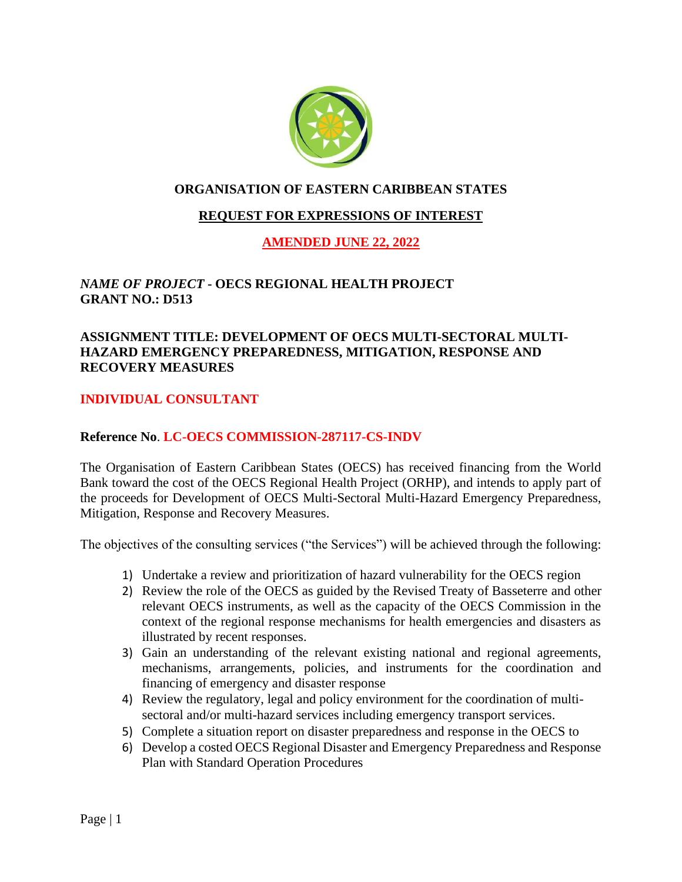

### **ORGANISATION OF EASTERN CARIBBEAN STATES**

## **REQUEST FOR EXPRESSIONS OF INTEREST**

### **AMENDED JUNE 22, 2022**

### *NAME OF PROJECT* **- OECS REGIONAL HEALTH PROJECT GRANT NO.: D513**

#### **ASSIGNMENT TITLE: DEVELOPMENT OF OECS MULTI-SECTORAL MULTI-HAZARD EMERGENCY PREPAREDNESS, MITIGATION, RESPONSE AND RECOVERY MEASURES**

### **INDIVIDUAL CONSULTANT**

#### **Reference No**. **LC-OECS COMMISSION-287117-CS-INDV**

The Organisation of Eastern Caribbean States (OECS) has received financing from the World Bank toward the cost of the OECS Regional Health Project (ORHP), and intends to apply part of the proceeds for Development of OECS Multi-Sectoral Multi-Hazard Emergency Preparedness, Mitigation, Response and Recovery Measures.

The objectives of the consulting services ("the Services") will be achieved through the following:

- 1) Undertake a review and prioritization of hazard vulnerability for the OECS region
- 2) Review the role of the OECS as guided by the Revised Treaty of Basseterre and other relevant OECS instruments, as well as the capacity of the OECS Commission in the context of the regional response mechanisms for health emergencies and disasters as illustrated by recent responses.
- 3) Gain an understanding of the relevant existing national and regional agreements, mechanisms, arrangements, policies, and instruments for the coordination and financing of emergency and disaster response
- 4) Review the regulatory, legal and policy environment for the coordination of multisectoral and/or multi-hazard services including emergency transport services.
- 5) Complete a situation report on disaster preparedness and response in the OECS to
- 6) Develop a costed OECS Regional Disaster and Emergency Preparedness and Response Plan with Standard Operation Procedures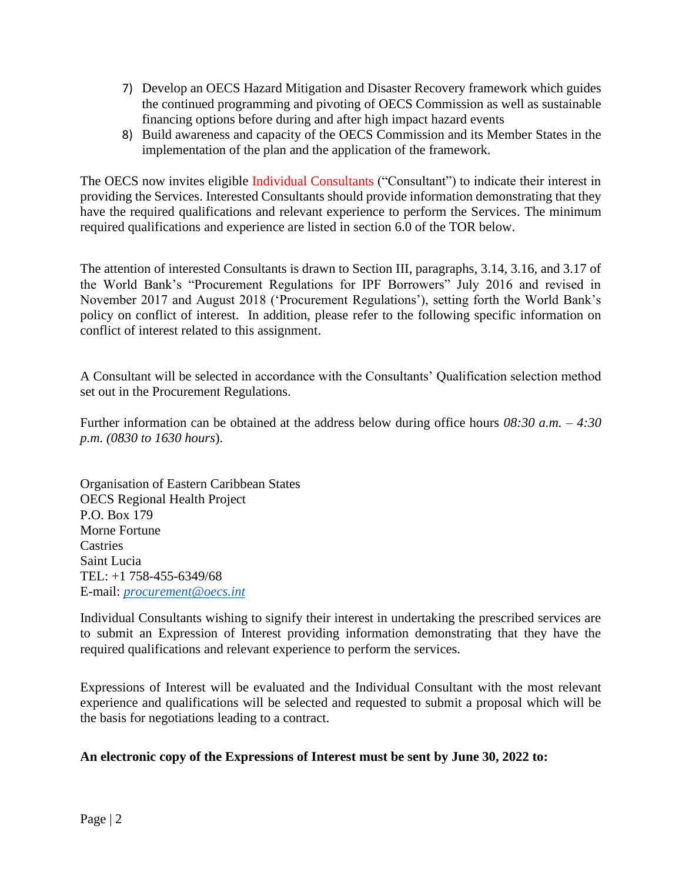- 7) Develop an OECS Hazard Mitigation and Disaster Recovery framework which guides the continued programming and pivoting of OECS Commission as well as sustainable financing options before during and after high impact hazard events
- 8) Build awareness and capacity of the OECS Commission and its Member States in the implementation of the plan and the application of the framework.

The OECS now invites eligible Individual Consultants ("Consultant") to indicate their interest in providing the Services. Interested Consultants should provide information demonstrating that they have the required qualifications and relevant experience to perform the Services. The minimum required qualifications and experience are listed in section 6.0 of the TOR below.

The attention of interested Consultants is drawn to Section III, paragraphs, 3.14, 3.16, and 3.17 of the World Bank's "Procurement Regulations for IPF Borrowers" July 2016 and revised in November 2017 and August 2018 ('Procurement Regulations'), setting forth the World Bank's policy on conflict of interest. In addition, please refer to the following specific information on conflict of interest related to this assignment.

A Consultant will be selected in accordance with the Consultants' Qualification selection method set out in the Procurement Regulations.

Further information can be obtained at the address below during office hours *08:30 a.m. – 4:30 p.m. (0830 to 1630 hours*).

Organisation of Eastern Caribbean States OECS Regional Health Project P.O. Box 179 Morne Fortune **Castries** Saint Lucia TEL: +1 758-455-6349/68 E-mail: *[procurement@oecs.int](mailto:procurement@oecs.int)*

Individual Consultants wishing to signify their interest in undertaking the prescribed services are to submit an Expression of Interest providing information demonstrating that they have the required qualifications and relevant experience to perform the services.

Expressions of Interest will be evaluated and the Individual Consultant with the most relevant experience and qualifications will be selected and requested to submit a proposal which will be the basis for negotiations leading to a contract.

### **An electronic copy of the Expressions of Interest must be sent by June 30, 2022 to:**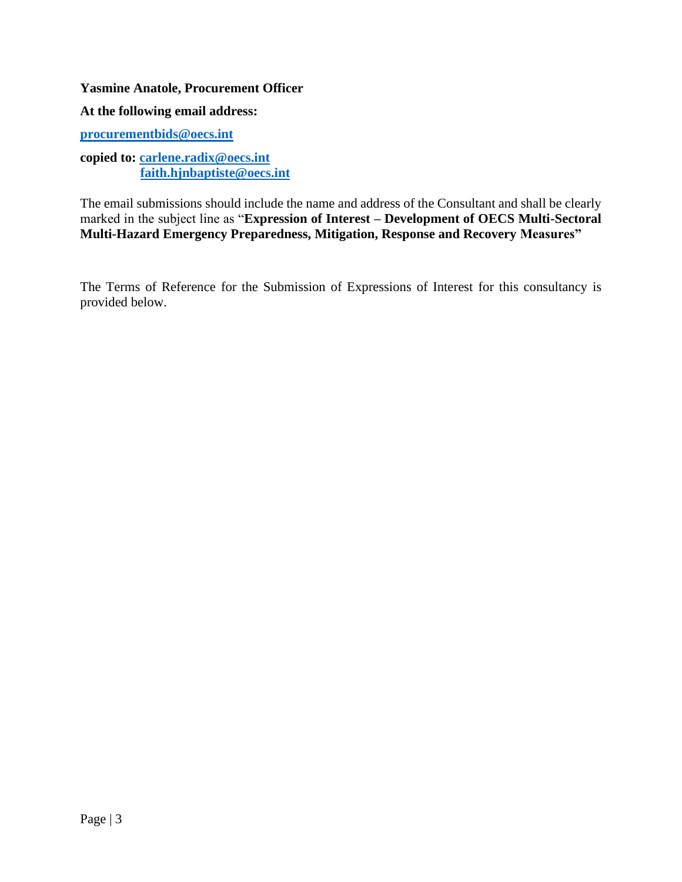**Yasmine Anatole, Procurement Officer**

**At the following email address:** 

**[procurementbids@oecs.int](mailto:procurementbids@oecs.int)**

**copied to: [carlene.radix@oecs.int](mailto:carlene.radix@oecs.int) [faith.hjnbaptiste@oecs.int](mailto:faith.hjnbaptiste@oecs.int)**

The email submissions should include the name and address of the Consultant and shall be clearly marked in the subject line as "**Expression of Interest – Development of OECS Multi-Sectoral Multi-Hazard Emergency Preparedness, Mitigation, Response and Recovery Measures"** 

The Terms of Reference for the Submission of Expressions of Interest for this consultancy is provided below.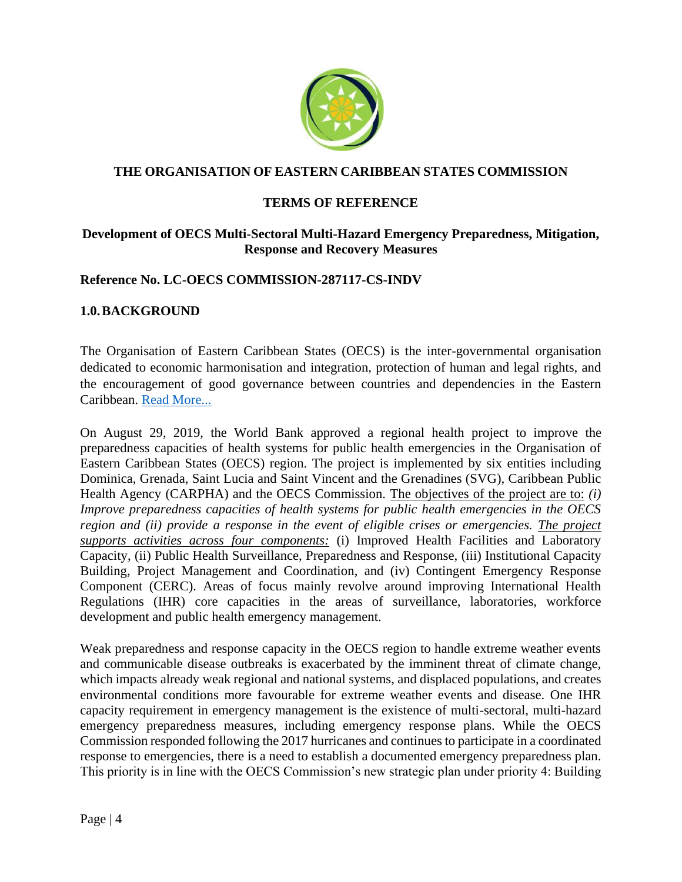

#### **THE ORGANISATION OF EASTERN CARIBBEAN STATES COMMISSION**

#### **TERMS OF REFERENCE**

#### **Development of OECS Multi-Sectoral Multi-Hazard Emergency Preparedness, Mitigation, Response and Recovery Measures**

#### **Reference No. LC-OECS COMMISSION-287117-CS-INDV**

#### **1.0.BACKGROUND**

The Organisation of Eastern Caribbean States (OECS) is the inter-governmental organisation dedicated to economic harmonisation and integration, protection of human and legal rights, and the encouragement of good governance between countries and dependencies in the Eastern Caribbean. [Read More...](https://www.oecs.org/homepage/about-us)

On August 29, 2019, the World Bank approved a regional health project to improve the preparedness capacities of health systems for public health emergencies in the Organisation of Eastern Caribbean States (OECS) region. The project is implemented by six entities including Dominica, Grenada, Saint Lucia and Saint Vincent and the Grenadines (SVG), Caribbean Public Health Agency (CARPHA) and the OECS Commission. The objectives of the project are to: *(i) Improve preparedness capacities of health systems for public health emergencies in the OECS region and (ii) provide a response in the event of eligible crises or emergencies. The project supports activities across four components:* (i) Improved Health Facilities and Laboratory Capacity, (ii) Public Health Surveillance, Preparedness and Response, (iii) Institutional Capacity Building, Project Management and Coordination, and (iv) Contingent Emergency Response Component (CERC). Areas of focus mainly revolve around improving International Health Regulations (IHR) core capacities in the areas of surveillance, laboratories, workforce development and public health emergency management.

Weak preparedness and response capacity in the OECS region to handle extreme weather events and communicable disease outbreaks is exacerbated by the imminent threat of climate change, which impacts already weak regional and national systems, and displaced populations, and creates environmental conditions more favourable for extreme weather events and disease. One IHR capacity requirement in emergency management is the existence of multi-sectoral, multi-hazard emergency preparedness measures, including emergency response plans. While the OECS Commission responded following the 2017 hurricanes and continues to participate in a coordinated response to emergencies, there is a need to establish a documented emergency preparedness plan. This priority is in line with the OECS Commission's new strategic plan under priority 4: Building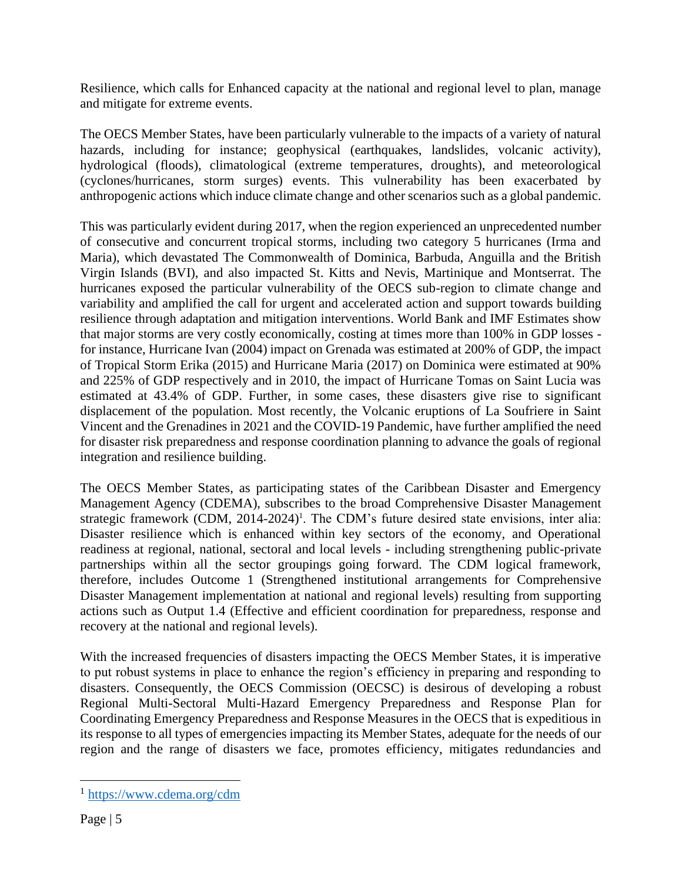Resilience, which calls for Enhanced capacity at the national and regional level to plan, manage and mitigate for extreme events.

The OECS Member States, have been particularly vulnerable to the impacts of a variety of natural hazards, including for instance; geophysical (earthquakes, landslides, volcanic activity), hydrological (floods), climatological (extreme temperatures, droughts), and meteorological (cyclones/hurricanes, storm surges) events. This vulnerability has been exacerbated by anthropogenic actions which induce climate change and other scenarios such as a global pandemic.

This was particularly evident during 2017, when the region experienced an unprecedented number of consecutive and concurrent tropical storms, including two category 5 hurricanes (Irma and Maria), which devastated The Commonwealth of Dominica, Barbuda, Anguilla and the British Virgin Islands (BVI), and also impacted St. Kitts and Nevis, Martinique and Montserrat. The hurricanes exposed the particular vulnerability of the OECS sub-region to climate change and variability and amplified the call for urgent and accelerated action and support towards building resilience through adaptation and mitigation interventions. World Bank and IMF Estimates show that major storms are very costly economically, costing at times more than 100% in GDP losses  for instance, Hurricane Ivan (2004) impact on Grenada was estimated at 200% of GDP, the impact of Tropical Storm Erika (2015) and Hurricane Maria (2017) on Dominica were estimated at 90% and 225% of GDP respectively and in 2010, the impact of Hurricane Tomas on Saint Lucia was estimated at 43.4% of GDP. Further, in some cases, these disasters give rise to significant displacement of the population. Most recently, the Volcanic eruptions of La Soufriere in Saint Vincent and the Grenadines in 2021 and the COVID-19 Pandemic, have further amplified the need for disaster risk preparedness and response coordination planning to advance the goals of regional integration and resilience building.

The OECS Member States, as participating states of the Caribbean Disaster and Emergency Management Agency (CDEMA), subscribes to the broad Comprehensive Disaster Management strategic framework (CDM, 2014-2024)<sup>1</sup>. The CDM's future desired state envisions, inter alia: Disaster resilience which is enhanced within key sectors of the economy, and Operational readiness at regional, national, sectoral and local levels - including strengthening public-private partnerships within all the sector groupings going forward. The CDM logical framework, therefore, includes Outcome 1 (Strengthened institutional arrangements for Comprehensive Disaster Management implementation at national and regional levels) resulting from supporting actions such as Output 1.4 (Effective and efficient coordination for preparedness, response and recovery at the national and regional levels).

With the increased frequencies of disasters impacting the OECS Member States, it is imperative to put robust systems in place to enhance the region's efficiency in preparing and responding to disasters. Consequently, the OECS Commission (OECSC) is desirous of developing a robust Regional Multi-Sectoral Multi-Hazard Emergency Preparedness and Response Plan for Coordinating Emergency Preparedness and Response Measures in the OECS that is expeditious in its response to all types of emergencies impacting its Member States, adequate for the needs of our region and the range of disasters we face, promotes efficiency, mitigates redundancies and

<sup>1</sup> <https://www.cdema.org/cdm>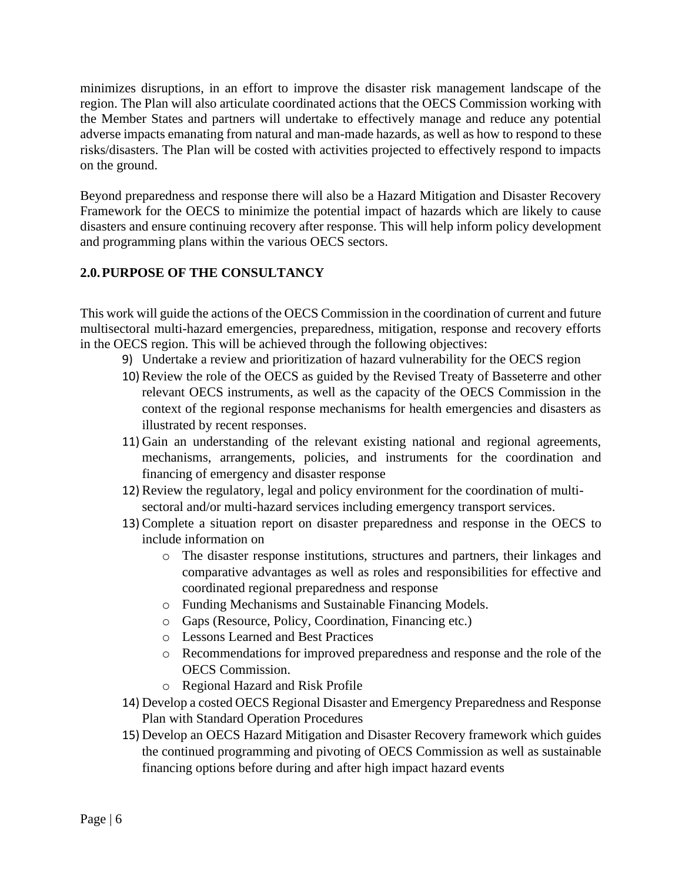minimizes disruptions, in an effort to improve the disaster risk management landscape of the region. The Plan will also articulate coordinated actions that the OECS Commission working with the Member States and partners will undertake to effectively manage and reduce any potential adverse impacts emanating from natural and man-made hazards, as well as how to respond to these risks/disasters. The Plan will be costed with activities projected to effectively respond to impacts on the ground.

Beyond preparedness and response there will also be a Hazard Mitigation and Disaster Recovery Framework for the OECS to minimize the potential impact of hazards which are likely to cause disasters and ensure continuing recovery after response. This will help inform policy development and programming plans within the various OECS sectors.

### **2.0.PURPOSE OF THE CONSULTANCY**

This work will guide the actions of the OECS Commission in the coordination of current and future multisectoral multi-hazard emergencies, preparedness, mitigation, response and recovery efforts in the OECS region. This will be achieved through the following objectives:

- 9) Undertake a review and prioritization of hazard vulnerability for the OECS region
- 10) Review the role of the OECS as guided by the Revised Treaty of Basseterre and other relevant OECS instruments, as well as the capacity of the OECS Commission in the context of the regional response mechanisms for health emergencies and disasters as illustrated by recent responses.
- 11) Gain an understanding of the relevant existing national and regional agreements, mechanisms, arrangements, policies, and instruments for the coordination and financing of emergency and disaster response
- 12) Review the regulatory, legal and policy environment for the coordination of multisectoral and/or multi-hazard services including emergency transport services.
- 13) Complete a situation report on disaster preparedness and response in the OECS to include information on
	- o The disaster response institutions, structures and partners, their linkages and comparative advantages as well as roles and responsibilities for effective and coordinated regional preparedness and response
	- o Funding Mechanisms and Sustainable Financing Models.
	- o Gaps (Resource, Policy, Coordination, Financing etc.)
	- o Lessons Learned and Best Practices
	- o Recommendations for improved preparedness and response and the role of the OECS Commission.
	- o Regional Hazard and Risk Profile
- 14) Develop a costed OECS Regional Disaster and Emergency Preparedness and Response Plan with Standard Operation Procedures
- 15) Develop an OECS Hazard Mitigation and Disaster Recovery framework which guides the continued programming and pivoting of OECS Commission as well as sustainable financing options before during and after high impact hazard events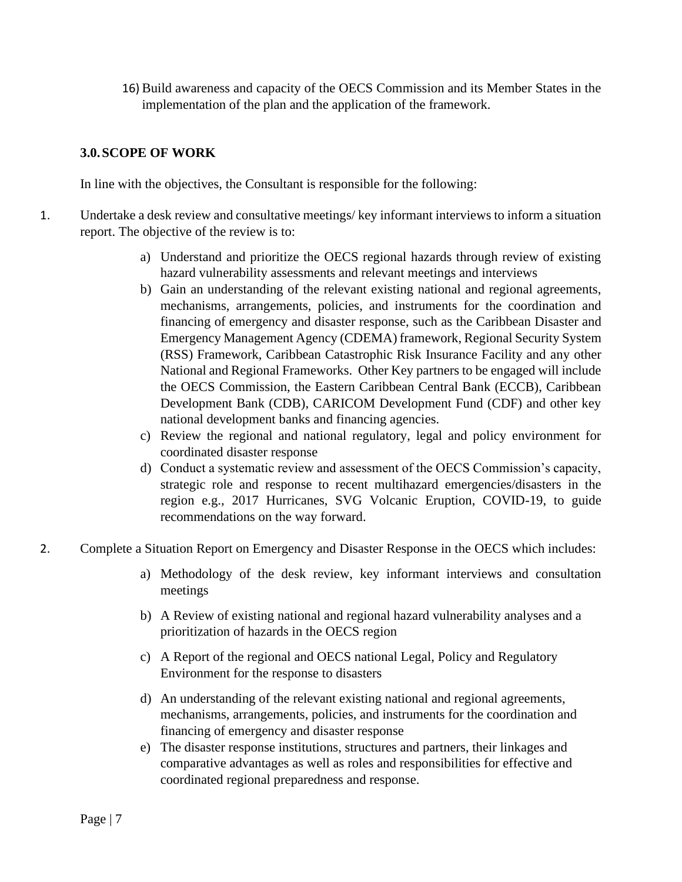16) Build awareness and capacity of the OECS Commission and its Member States in the implementation of the plan and the application of the framework.

### **3.0.SCOPE OF WORK**

In line with the objectives, the Consultant is responsible for the following:

- 1. Undertake a desk review and consultative meetings/ key informant interviews to inform a situation report. The objective of the review is to:
	- a) Understand and prioritize the OECS regional hazards through review of existing hazard vulnerability assessments and relevant meetings and interviews
	- b) Gain an understanding of the relevant existing national and regional agreements, mechanisms, arrangements, policies, and instruments for the coordination and financing of emergency and disaster response, such as the Caribbean Disaster and Emergency Management Agency (CDEMA) framework, Regional Security System (RSS) Framework, Caribbean Catastrophic Risk Insurance Facility and any other National and Regional Frameworks. Other Key partners to be engaged will include the OECS Commission, the Eastern Caribbean Central Bank (ECCB), Caribbean Development Bank (CDB), CARICOM Development Fund (CDF) and other key national development banks and financing agencies.
	- c) Review the regional and national regulatory, legal and policy environment for coordinated disaster response
	- d) Conduct a systematic review and assessment of the OECS Commission's capacity, strategic role and response to recent multihazard emergencies/disasters in the region e.g., 2017 Hurricanes, SVG Volcanic Eruption, COVID-19, to guide recommendations on the way forward.
- 2. Complete a Situation Report on Emergency and Disaster Response in the OECS which includes:
	- a) Methodology of the desk review, key informant interviews and consultation meetings
	- b) A Review of existing national and regional hazard vulnerability analyses and a prioritization of hazards in the OECS region
	- c) A Report of the regional and OECS national Legal, Policy and Regulatory Environment for the response to disasters
	- d) An understanding of the relevant existing national and regional agreements, mechanisms, arrangements, policies, and instruments for the coordination and financing of emergency and disaster response
	- e) The disaster response institutions, structures and partners, their linkages and comparative advantages as well as roles and responsibilities for effective and coordinated regional preparedness and response.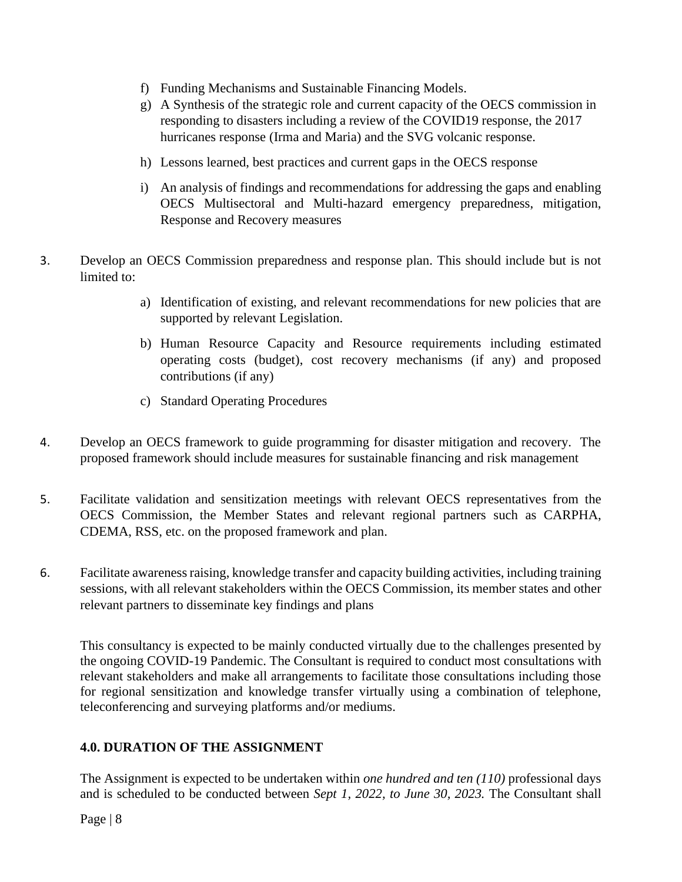- f) Funding Mechanisms and Sustainable Financing Models.
- g) A Synthesis of the strategic role and current capacity of the OECS commission in responding to disasters including a review of the COVID19 response, the 2017 hurricanes response (Irma and Maria) and the SVG volcanic response.
- h) Lessons learned, best practices and current gaps in the OECS response
- i) An analysis of findings and recommendations for addressing the gaps and enabling OECS Multisectoral and Multi-hazard emergency preparedness, mitigation, Response and Recovery measures
- 3. Develop an OECS Commission preparedness and response plan. This should include but is not limited to:
	- a) Identification of existing, and relevant recommendations for new policies that are supported by relevant Legislation.
	- b) Human Resource Capacity and Resource requirements including estimated operating costs (budget), cost recovery mechanisms (if any) and proposed contributions (if any)
	- c) Standard Operating Procedures
- 4. Develop an OECS framework to guide programming for disaster mitigation and recovery. The proposed framework should include measures for sustainable financing and risk management
- 5. Facilitate validation and sensitization meetings with relevant OECS representatives from the OECS Commission, the Member States and relevant regional partners such as CARPHA, CDEMA, RSS, etc. on the proposed framework and plan.
- 6. Facilitate awareness raising, knowledge transfer and capacity building activities, including training sessions, with all relevant stakeholders within the OECS Commission, its member states and other relevant partners to disseminate key findings and plans

This consultancy is expected to be mainly conducted virtually due to the challenges presented by the ongoing COVID-19 Pandemic. The Consultant is required to conduct most consultations with relevant stakeholders and make all arrangements to facilitate those consultations including those for regional sensitization and knowledge transfer virtually using a combination of telephone, teleconferencing and surveying platforms and/or mediums.

# **4.0. DURATION OF THE ASSIGNMENT**

The Assignment is expected to be undertaken within *one hundred and ten (110)* professional days and is scheduled to be conducted between *Sept 1, 2022, to June 30, 2023.* The Consultant shall

Page | 8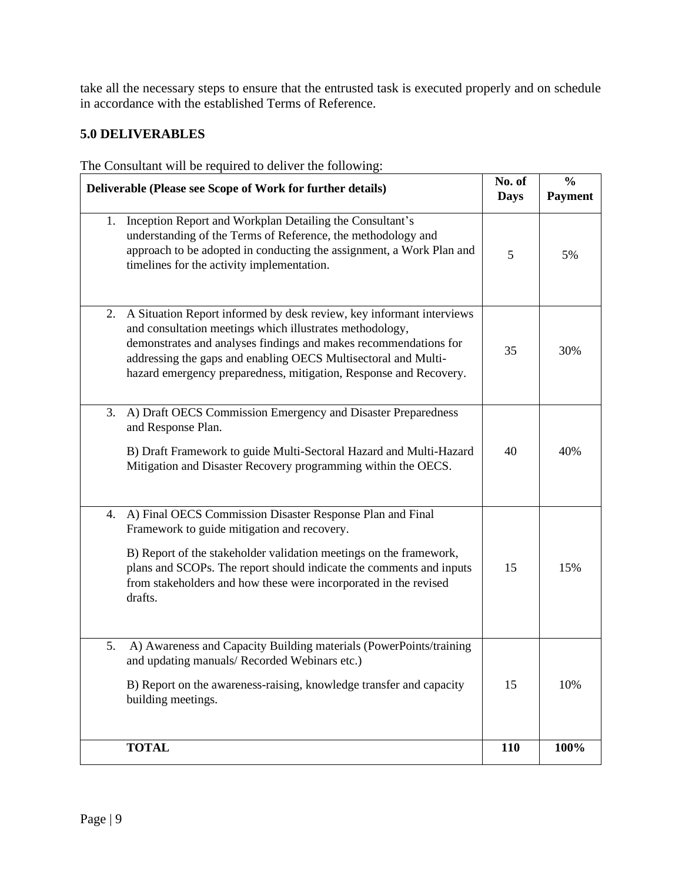take all the necessary steps to ensure that the entrusted task is executed properly and on schedule in accordance with the established Terms of Reference.

### **5.0 DELIVERABLES**

| Deliverable (Please see Scope of Work for further details)                                                                                                                                                                                                                                                                                        | No. of<br><b>Days</b> | $\frac{0}{0}$<br><b>Payment</b> |
|---------------------------------------------------------------------------------------------------------------------------------------------------------------------------------------------------------------------------------------------------------------------------------------------------------------------------------------------------|-----------------------|---------------------------------|
| Inception Report and Workplan Detailing the Consultant's<br>1.<br>understanding of the Terms of Reference, the methodology and<br>approach to be adopted in conducting the assignment, a Work Plan and<br>timelines for the activity implementation.                                                                                              | 5                     | 5%                              |
| A Situation Report informed by desk review, key informant interviews<br>2.<br>and consultation meetings which illustrates methodology,<br>demonstrates and analyses findings and makes recommendations for<br>addressing the gaps and enabling OECS Multisectoral and Multi-<br>hazard emergency preparedness, mitigation, Response and Recovery. | 35                    | 30%                             |
| A) Draft OECS Commission Emergency and Disaster Preparedness<br>3.<br>and Response Plan.<br>B) Draft Framework to guide Multi-Sectoral Hazard and Multi-Hazard<br>Mitigation and Disaster Recovery programming within the OECS.                                                                                                                   | 40                    | 40%                             |
| A) Final OECS Commission Disaster Response Plan and Final<br>4.<br>Framework to guide mitigation and recovery.<br>B) Report of the stakeholder validation meetings on the framework,<br>plans and SCOPs. The report should indicate the comments and inputs<br>from stakeholders and how these were incorporated in the revised<br>drafts.        | 15                    | 15%                             |
| 5.<br>A) Awareness and Capacity Building materials (PowerPoints/training<br>and updating manuals/ Recorded Webinars etc.)<br>B) Report on the awareness-raising, knowledge transfer and capacity<br>building meetings.                                                                                                                            | 15                    | 10%                             |
| <b>TOTAL</b>                                                                                                                                                                                                                                                                                                                                      | 110                   | 100%                            |

The Consultant will be required to deliver the following: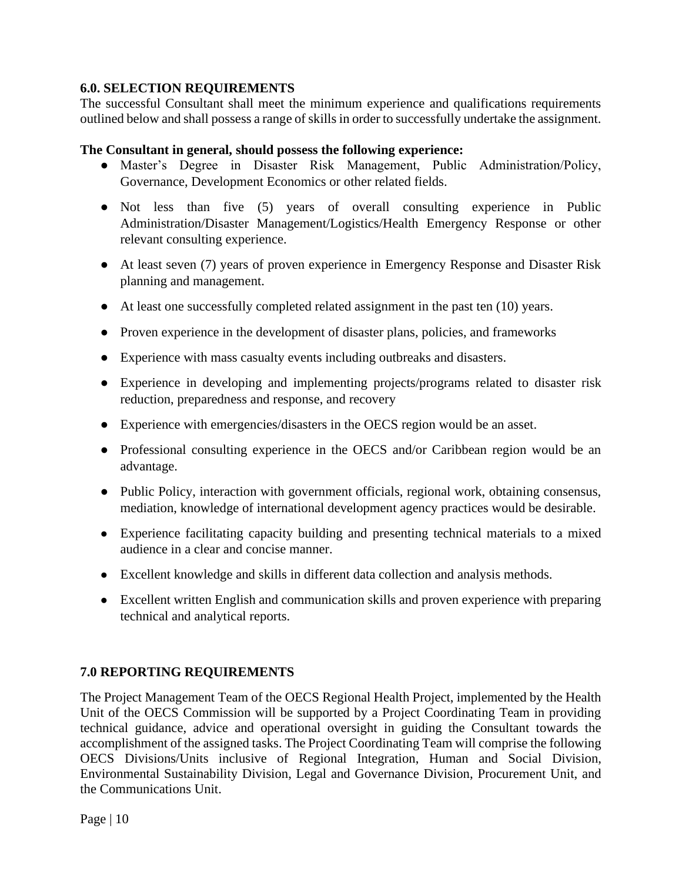### **6.0. SELECTION REQUIREMENTS**

The successful Consultant shall meet the minimum experience and qualifications requirements outlined below and shall possess a range of skills in order to successfully undertake the assignment.

### **The Consultant in general, should possess the following experience:**

- Master's Degree in Disaster Risk Management, Public Administration/Policy, Governance, Development Economics or other related fields.
- Not less than five (5) years of overall consulting experience in Public Administration/Disaster Management/Logistics/Health Emergency Response or other relevant consulting experience.
- At least seven (7) years of proven experience in Emergency Response and Disaster Risk planning and management.
- At least one successfully completed related assignment in the past ten (10) years.
- Proven experience in the development of disaster plans, policies, and frameworks
- Experience with mass casualty events including outbreaks and disasters.
- Experience in developing and implementing projects/programs related to disaster risk reduction, preparedness and response, and recovery
- Experience with emergencies/disasters in the OECS region would be an asset.
- Professional consulting experience in the OECS and/or Caribbean region would be an advantage.
- Public Policy, interaction with government officials, regional work, obtaining consensus, mediation, knowledge of international development agency practices would be desirable.
- Experience facilitating capacity building and presenting technical materials to a mixed audience in a clear and concise manner.
- Excellent knowledge and skills in different data collection and analysis methods.
- Excellent written English and communication skills and proven experience with preparing technical and analytical reports.

# **7.0 REPORTING REQUIREMENTS**

The Project Management Team of the OECS Regional Health Project, implemented by the Health Unit of the OECS Commission will be supported by a Project Coordinating Team in providing technical guidance, advice and operational oversight in guiding the Consultant towards the accomplishment of the assigned tasks. The Project Coordinating Team will comprise the following OECS Divisions/Units inclusive of Regional Integration, Human and Social Division, Environmental Sustainability Division, Legal and Governance Division, Procurement Unit, and the Communications Unit.